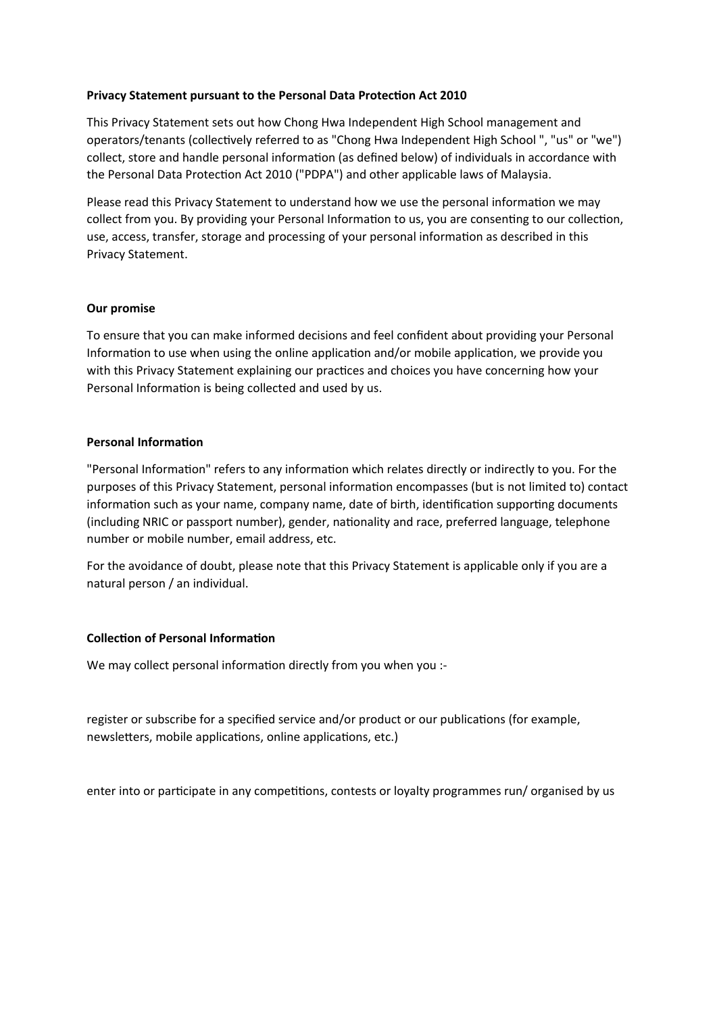# **Privacy Statement pursuant to the Personal Data Protection Act 2010**

This Privacy Statement sets out how Chong Hwa Independent High School management and operators/tenants (collectively referred to as "Chong Hwa Independent High School ", "us" or "we") collect, store and handle personal information (as defined below) of individuals in accordance with the Personal Data Protection Act 2010 ("PDPA") and other applicable laws of Malaysia.

Please read this Privacy Statement to understand how we use the personal information we may collect from you. By providing your Personal Information to us, you are consenting to our collection, use, access, transfer, storage and processing of your personal information as described in this Privacy Statement.

# **Our promise**

To ensure that you can make informed decisions and feel confident about providing your Personal Information to use when using the online application and/or mobile application, we provide you with this Privacy Statement explaining our practices and choices you have concerning how your Personal Information is being collected and used by us.

## **Personal Information**

"Personal Information" refers to any information which relates directly or indirectly to you. For the purposes of this Privacy Statement, personal information encompasses (but is not limited to) contact information such as your name, company name, date of birth, identification supporting documents (including NRIC or passport number), gender, nationality and race, preferred language, telephone number or mobile number, email address, etc.

For the avoidance of doubt, please note that this Privacy Statement is applicable only if you are a natural person / an individual.

# **Collection of Personal Information**

We may collect personal information directly from you when you :-

register or subscribe for a specified service and/or product or our publications (for example, newsletters, mobile applications, online applications, etc.)

enter into or participate in any competitions, contests or loyalty programmes run/ organised by us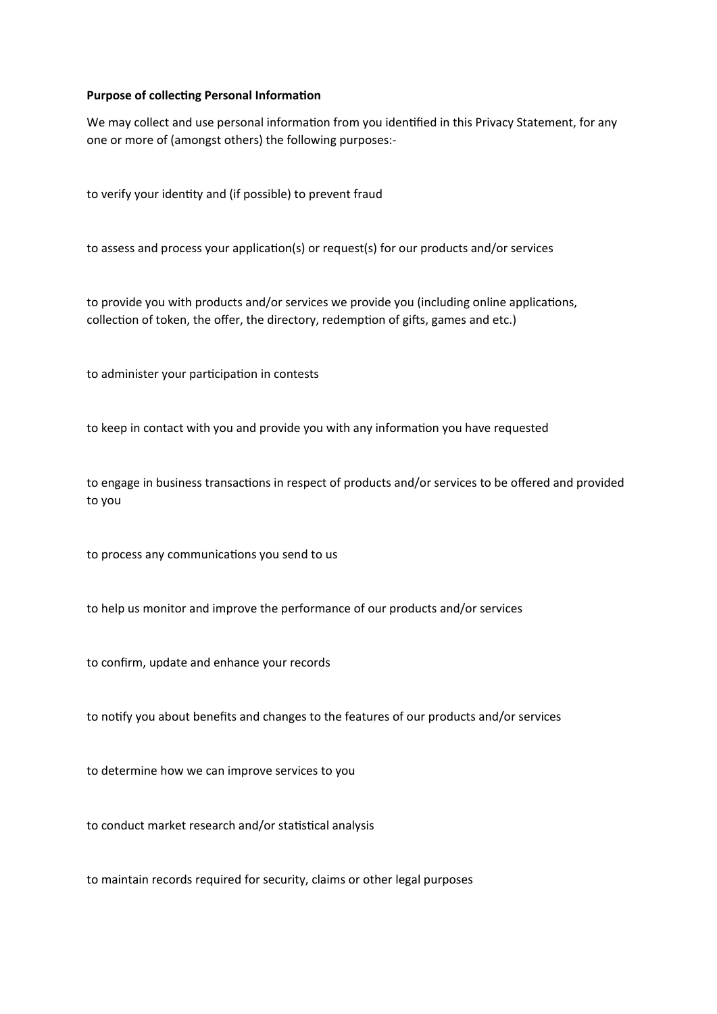## **Purpose of collecting Personal Information**

We may collect and use personal information from you identified in this Privacy Statement, for any one or more of (amongst others) the following purposes:-

to verify your identity and (if possible) to prevent fraud

to assess and process your application(s) or request(s) for our products and/or services

to provide you with products and/or services we provide you (including online applications, collection of token, the offer, the directory, redemption of gifts, games and etc.)

to administer your participation in contests

to keep in contact with you and provide you with any information you have requested

to engage in business transactions in respect of products and/or services to be offered and provided to you

to process any communications you send to us

to help us monitor and improve the performance of our products and/or services

to confirm, update and enhance your records

to notify you about benefits and changes to the features of our products and/or services

to determine how we can improve services to you

to conduct market research and/or statistical analysis

to maintain records required for security, claims or other legal purposes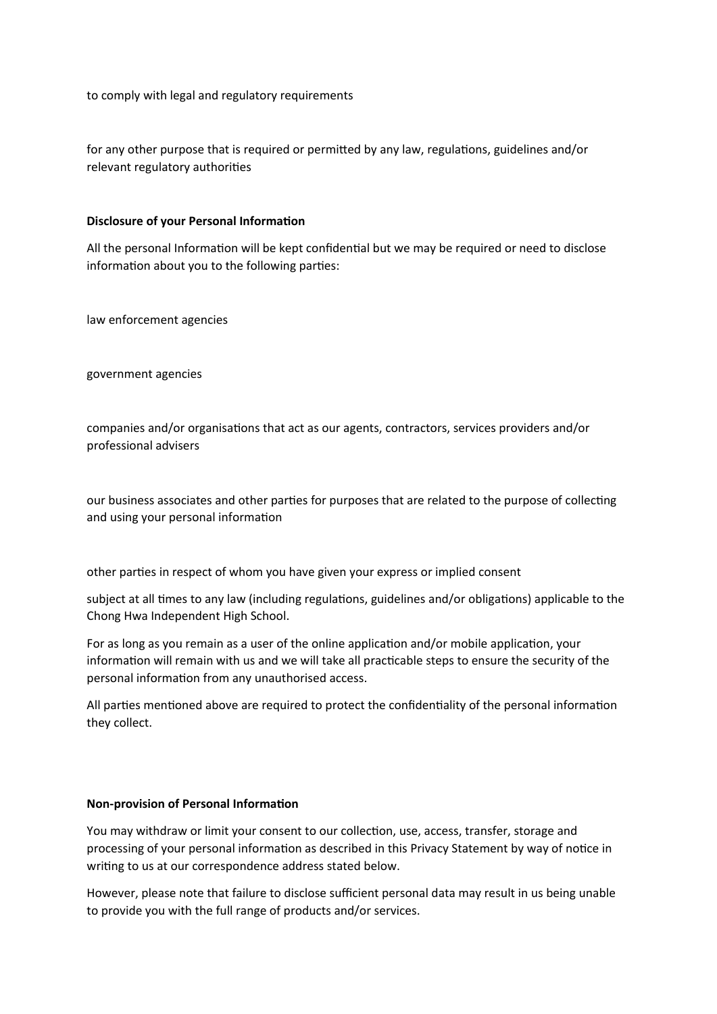to comply with legal and regulatory requirements

for any other purpose that is required or permitted by any law, regulations, guidelines and/or relevant regulatory authorities

# **Disclosure of your Personal Information**

All the personal Information will be kept confidential but we may be required or need to disclose information about you to the following parties:

law enforcement agencies

government agencies

companies and/or organisations that act as our agents, contractors, services providers and/or professional advisers

our business associates and other parties for purposes that are related to the purpose of collecting and using your personal information

other parties in respect of whom you have given your express or implied consent

subject at all times to any law (including regulations, guidelines and/or obligations) applicable to the Chong Hwa Independent High School.

For as long as you remain as a user of the online application and/or mobile application, your information will remain with us and we will take all practicable steps to ensure the security of the personal information from any unauthorised access.

All parties mentioned above are required to protect the confidentiality of the personal information they collect.

#### **Non-provision of Personal Information**

You may withdraw or limit your consent to our collection, use, access, transfer, storage and processing of your personal information as described in this Privacy Statement by way of notice in writing to us at our correspondence address stated below.

However, please note that failure to disclose sufficient personal data may result in us being unable to provide you with the full range of products and/or services.